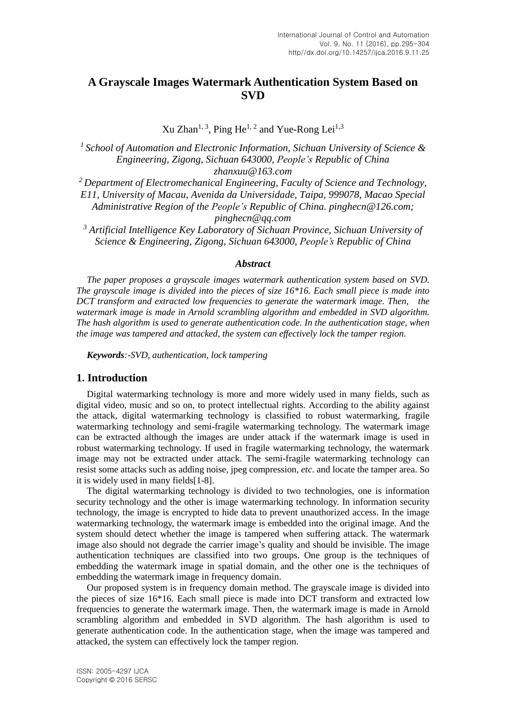# **A Grayscale Images Watermark Authentication System Based on SVD**

Xu Zhan<sup>1, 3</sup>, Ping He<sup>1, 2</sup> and Yue-Rong Lei<sup>1,3</sup>

*1 School of Automation and Electronic Information, Sichuan University of Science & Engineering, Zigong, Sichuan 643000, People's Republic of China zhanxuu@163.com*

*<sup>2</sup> Department of Electromechanical Engineering, Faculty of Science and Technology, E11, University of Macau, Avenida da Universidade, Taipa, 999078, Macao Special Administrative Region of the People's Republic of China. pinghecn@126.com; pinghecn@qq.com*

*<sup>3</sup> Artificial Intelligence Key Laboratory of Sichuan Province, Sichuan University of Science & Engineering, Zigong, Sichuan 643000, People's Republic of China*

#### *Abstract*

*The paper proposes a grayscale images watermark authentication system based on SVD. The grayscale image is divided into the pieces of size 16\*16. Each small piece is made into DCT transform and extracted low frequencies to generate the watermark image. Then, the watermark image is made in Arnold scrambling algorithm and embedded in SVD algorithm. The hash algorithm is used to generate authentication code. In the authentication stage, when the image was tampered and attacked, the system can effectively lock the tamper region.*

*Keywords:-SVD, authentication, lock tampering*

## **1. Introduction**

Digital watermarking technology is more and more widely used in many fields, such as digital video, music and so on, to protect intellectual rights. According to the ability against the attack, digital watermarking technology is classified to robust watermarking, fragile watermarking technology and semi-fragile watermarking technology. The watermark image can be extracted although the images are under attack if the watermark image is used in robust watermarking technology. If used in fragile watermarking technology, the watermark image may not be extracted under attack. The semi-fragile watermarking technology can resist some attacks such as adding noise, jpeg compression, *etc*. and locate the tamper area. So it is widely used in many fields[1-8].

The digital watermarking technology is divided to two technologies, one is information security technology and the other is image watermarking technology. In information security technology, the image is encrypted to hide data to prevent unauthorized access. In the image watermarking technology, the watermark image is embedded into the original image. And the system should detect whether the image is tampered when suffering attack. The watermark image also should not degrade the carrier image's quality and should be invisible. The image authentication techniques are classified into two groups. One group is the techniques of embedding the watermark image in spatial domain, and the other one is the techniques of embedding the watermark image in frequency domain.

Our proposed system is in frequency domain method. The grayscale image is divided into the pieces of size 16\*16. Each small piece is made into DCT transform and extracted low frequencies to generate the watermark image. Then, the watermark image is made in Arnold scrambling algorithm and embedded in SVD algorithm. The hash algorithm is used to generate authentication code. In the authentication stage, when the image was tampered and attacked, the system can effectively lock the tamper region.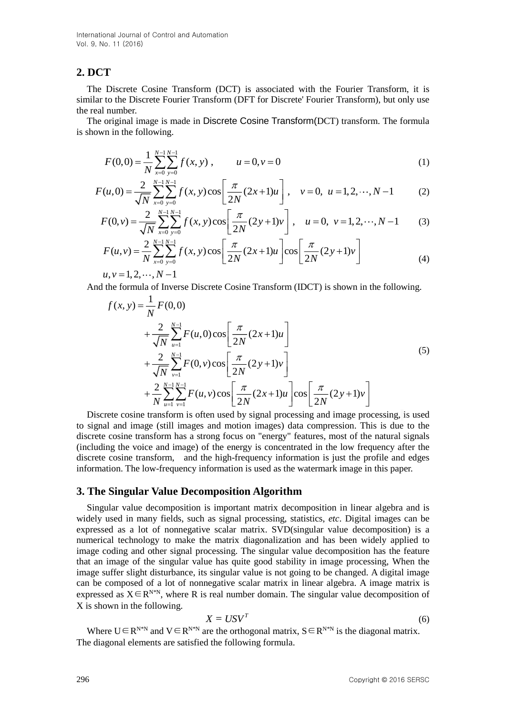## **2. DCT**

The Discrete Cosine Transform (DCT) is associated with the Fourier Transform, it is similar to the Discrete Fourier Transform (DFT for Discrete' Fourier Transform), but only use the real number.

The original image is made in Discrete Cosine Transform(DCT) transform. The formula is shown in the following.

$$
F(0,0) = \frac{1}{N} \sum_{x=0}^{N-1} \sum_{y=0}^{N-1} f(x, y) , \qquad u = 0, v = 0
$$
 (1)

$$
F(u,0) = \frac{2}{\sqrt{N}} \sum_{x=0}^{N-1} \sum_{y=0}^{N-1} f(x,y) \cos\left[\frac{\pi}{2N}(2x+1)u\right], \quad v = 0, \ u = 1, 2, \cdots, N-1
$$
 (2)

$$
F(0, v) = \frac{2}{\sqrt{N}} \sum_{x=0}^{N-1} \sum_{y=0}^{N-1} f(x, y) \cos \left[ \frac{\pi}{2N} (2y+1)v \right], \quad u = 0, \ v = 1, 2, \cdots, N-1 \quad (3)
$$

$$
F(u,v) = \frac{2}{N} \sum_{x=0}^{N-1} \sum_{y=0}^{N-1} f(x,y) \cos \left[ \frac{\pi}{2N} (2x+1)u \right] \cos \left[ \frac{\pi}{2N} (2y+1)v \right]
$$
(4)

 $u, v = 1, 2, \cdots, N-1$ 

And the formula of Inverse Discrete Cosine Transform (IDCT) is shown in the following.

$$
f(x, y) = \frac{1}{N} F(0, 0)
$$
  
+ 
$$
\frac{2}{\sqrt{N}} \sum_{u=1}^{N-1} F(u, 0) \cos \left[ \frac{\pi}{2N} (2x+1)u \right]
$$
  
+ 
$$
\frac{2}{\sqrt{N}} \sum_{v=1}^{N-1} F(0, v) \cos \left[ \frac{\pi}{2N} (2y+1) v \right]
$$
  
+ 
$$
\frac{2}{N} \sum_{u=1}^{N-1} \sum_{v=1}^{N-1} F(u, v) \cos \left[ \frac{\pi}{2N} (2x+1)u \right] \cos \left[ \frac{\pi}{2N} (2y+1) v \right]
$$
  
(5)

Discrete cosine transform is often used by signal processing and image processing, is used to signal and image (still images and motion images) data compression. This is due to the discrete cosine transform has a strong focus on "energy" features, most of the natural signals (including the voice and image) of the energy is concentrated in the low frequency after the discrete cosine transform, and the high-frequency information is just the profile and edges information. The low-frequency information is used as the watermark image in this paper.

### **3. The Singular Value Decomposition Algorithm**

Singular value decomposition is important matrix decomposition in linear algebra and is widely used in many fields, such as signal processing, statistics, *etc*. Digital images can be expressed as a lot of nonnegative scalar matrix. SVD(singular value decomposition) is a numerical technology to make the matrix diagonalization and has been widely applied to image coding and other signal processing. The singular value decomposition has the feature that an image of the singular value has quite good stability in image processing, When the image suffer slight disturbance, its singular value is not going to be changed. A digital image can be composed of a lot of nonnegative scalar matrix in linear algebra. A image matrix is expressed as  $X \in \mathbb{R}^{N^*N}$ , where R is real number domain. The singular value decomposition of X is shown in the following.

$$
X = USV^T \tag{6}
$$

Where  $U \in R^{N*N}$  and  $V \in R^{N*N}$  are the orthogonal matrix,  $S \in R^{N*N}$  is the diagonal matrix. The diagonal elements are satisfied the following formula.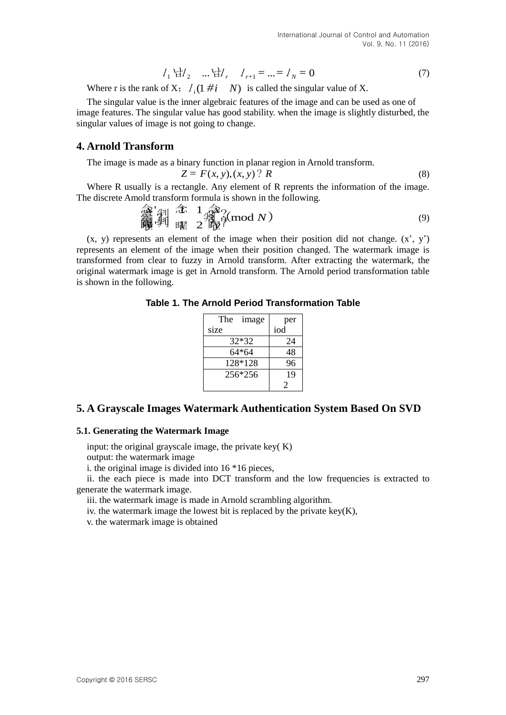$$
I_1 \, \text{d}I_2 \quad \dots \, \text{d}I_r \quad I_{r+1} = \dots = I_N = 0 \tag{7}
$$

Where r is the rank of X;  $I_i(1 \# i \quad N)$  is called the singular value of X.

The singular value is the inner algebraic features of the image and can be used as one of image features. The singular value has good stability. when the image is slightly disturbed, the singular values of image is not going to change.

## **4. Arnold Transform**

The image is made as a binary function in planar region in Arnold transform.

 $Z = F(x, y), (x, y)$ ? *R* (8)

Where R usually is a rectangle. Any element of R reprents the information of the image. The discrete Amold transform formula is shown in the following.

$$
\begin{array}{ccc}\n\widehat{\mathbf{a}}^{\mathsf{T}}\mathbf{y} & \widehat{\mathbf{a}}^{\mathsf{T}} & 1 & \widehat{\mathbf{a}}^{\mathsf{T}}\n\\
\widehat{\mathbf{a}}^{\mathsf{T}}\mathbf{y} & \widehat{\mathbf{a}}^{\mathsf{T}} & 2 & \widehat{\mathbf{a}}^{\mathsf{T}}\n\\
\widehat{\mathbf{a}}^{\mathsf{T}}\mathbf{y} & \widehat{\mathbf{a}}^{\mathsf{T}} & 2 & \widehat{\mathbf{a}}^{\mathsf{T}}\n\end{array} \tag{9}
$$

 $(x, y)$  represents an element of the image when their position did not change.  $(x', y')$ represents an element of the image when their position changed. The watermark image is transformed from clear to fuzzy in Arnold transform. After extracting the watermark, the original watermark image is get in Arnold transform. The Arnold period transformation table is shown in the following.

**Table 1. The Arnold Period Transformation Table**

| The<br>image | per |  |
|--------------|-----|--|
| size         | iod |  |
| 32*32        | 24  |  |
| 64*64        | 48  |  |
| 128*128      | 96  |  |
| 256*256      | 19  |  |
|              | 2   |  |

## **5. A Grayscale Images Watermark Authentication System Based On SVD**

### **5.1. Generating the Watermark Image**

input: the original grayscale image, the private key( K) output: the watermark image

i. the original image is divided into 16 \*16 pieces,

ii. the each piece is made into DCT transform and the low frequencies is extracted to generate the watermark image.

iii. the watermark image is made in Arnold scrambling algorithm.

iv. the watermark image the lowest bit is replaced by the private key $(K)$ ,

v. the watermark image is obtained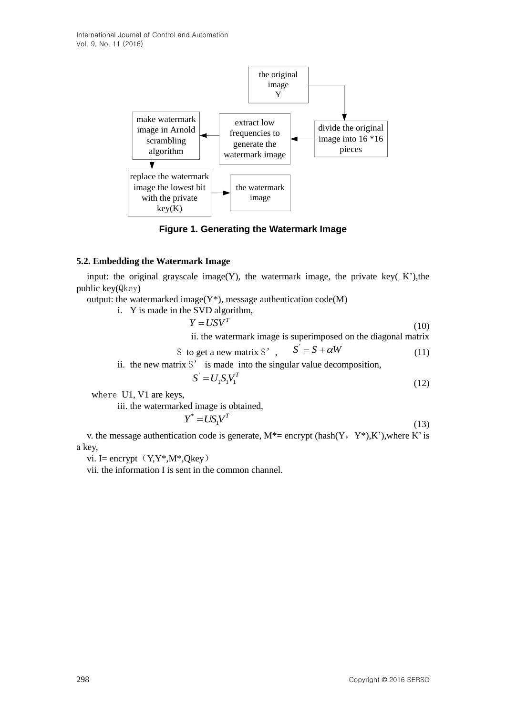

**Figure 1. Generating the Watermark Image**

### **5.2. Embedding the Watermark Image**

input: the original grayscale image(Y), the watermark image, the private key( $K'$ ), the public key(Qkey)

output: the watermarked image( $Y^*$ ), message authentication code(M)

i. Y is made in the SVD algorithm,  $Y = I/SV<sup>T</sup>$  $Y = USV$ <sup>1</sup> (10) ii. the watermark image is superimposed on the diagonal matrix

S to get a new matrix S', 
$$
S' = S + \alpha W
$$
 (11)

ii. the new matrix  $S'$  is made into the singular value decomposition,

$$
S' = U_1 S_1 V_1^T \tag{12}
$$

where U1, V1 are keys,

iii. the watermarked image is obtained,

$$
Y^* = US_1 V^T \tag{13}
$$

v. the message authentication code is generate,  $M^*$  = encrypt (hash(Y, Y\*),K'),where K' is a key,

vi. I= encrypt $(Y, Y^*, M^*, Qkey)$ 

vii. the information I is sent in the common channel.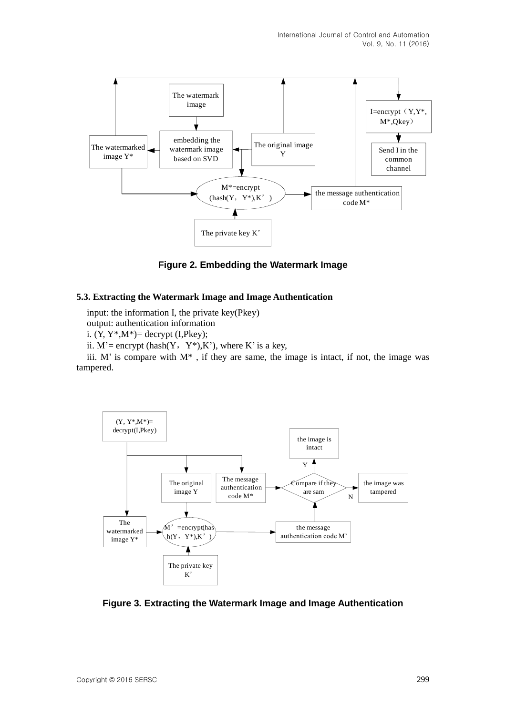

**Figure 2. Embedding the Watermark Image**

### **5.3. Extracting the Watermark Image and Image Authentication**

input: the information I, the private key(Pkey)

output: authentication information

i.  $(Y, Y^*, M^*)$  = decrypt (I, Pkey);

ii.  $M'$  = encrypt (hash(Y, Y\*),K'), where K' is a key,

iii. M' is compare with  $M^*$ , if they are same, the image is intact, if not, the image was tampered.



**Figure 3. Extracting the Watermark Image and Image Authentication**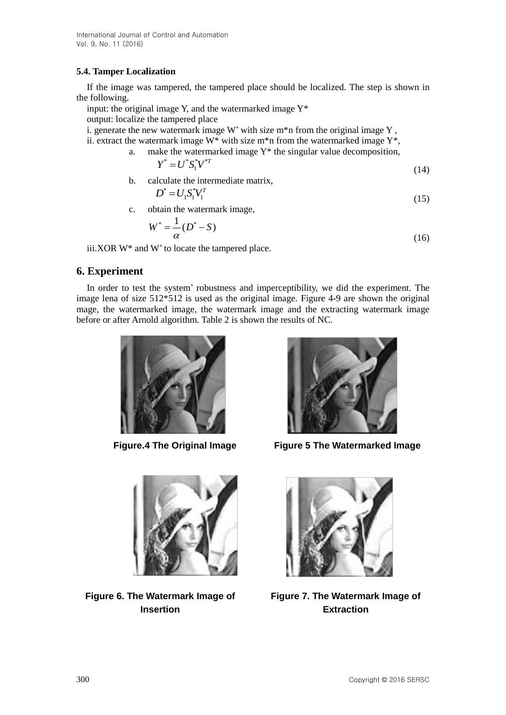## **5.4. Tamper Localization**

If the image was tampered, the tampered place should be localized. The step is shown in the following.

input: the original image Y, and the watermarked image  $Y^*$ 

output: localize the tampered place

i. generate the new watermark image W' with size  $m^*n$  from the original image Y,

ii. extract the watermark image  $W^*$  with size m<sup>\*</sup>n from the watermarked image  $Y^*$ ,

a. make the watermarked image  $Y^*$  the singular value decomposition,

$$
Y^* = U^* S_1^* V^{*T} \tag{14}
$$

b. calculate the intermediate matrix,

$$
D^* = U_1 S_1^* V_1^T \tag{15}
$$

c. obtain the watermark image,

$$
W^* = \frac{1}{\alpha} (D^* - S) \tag{16}
$$

iii.XOR W\* and W' to locate the tampered place.

## **6. Experiment**

In order to test the system' robustness and imperceptibility, we did the experiment. The image lena of size 512\*512 is used as the original image. Figure 4-9 are shown the original mage, the watermarked image, the watermark image and the extracting watermark image before or after Arnold algorithm. Table 2 is shown the results of NC.





**Figure 6. The Watermark Image of Insertion**



 **Figure.4 The Original Image Figure 5 The Watermarked Image**



**Figure 7. The Watermark Image of Extraction**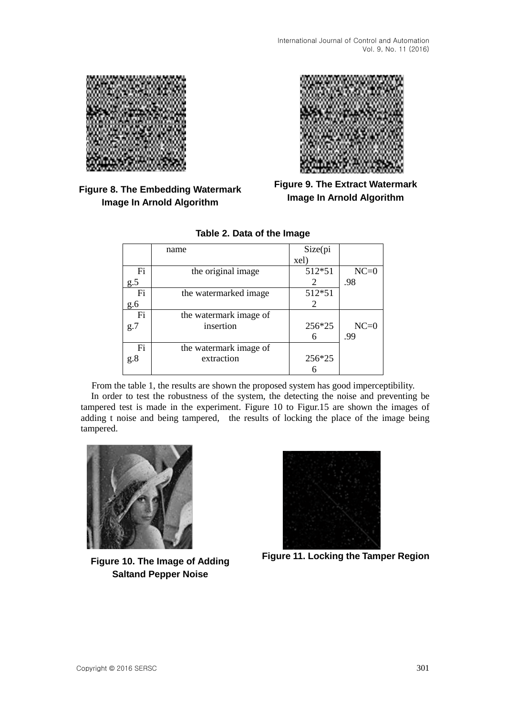

# **Figure 8. The Embedding Watermark Image In Arnold Algorithm**



**Figure 9. The Extract Watermark Image In Arnold Algorithm**

|     | name                   | Size(pi |        |
|-----|------------------------|---------|--------|
|     |                        | xel)    |        |
| Fi  | the original image     | 512*51  | $NC=0$ |
| g.5 |                        | 2       | .98    |
| Fi  | the watermarked image  | 512*51  |        |
| g.6 |                        | 2       |        |
| Fi  | the watermark image of |         |        |
| g.7 | insertion              | 256*25  | $NC=0$ |
|     |                        |         | .99    |
| Fi  | the watermark image of |         |        |
| g.8 | extraction             | 256*25  |        |
|     |                        |         |        |

## **Table 2. Data of the Image**

From the table 1, the results are shown the proposed system has good imperceptibility.

In order to test the robustness of the system, the detecting the noise and preventing be tampered test is made in the experiment. Figure 10 to Figur.15 are shown the images of adding t noise and being tampered, the results of locking the place of the image being tampered.



**Figure 10. The Image of Adding Saltand Pepper Noise**



**Figure 11. Locking the Tamper Region**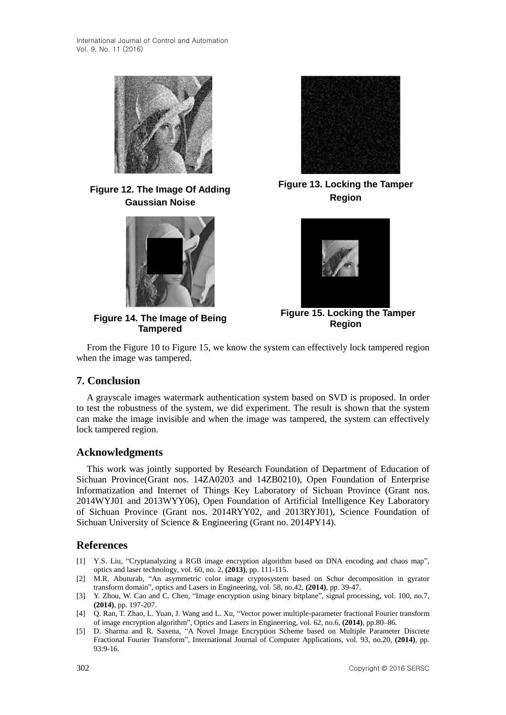

**Figure 12. The Image Of Adding Gaussian Noise**



**Figure 14. The Image of Being Tampered**



**Figure 13. Locking the Tamper Region**



**Figure 15. Locking the Tamper Region**

From the Figure 10 to Figure 15, we know the system can effectively lock tampered region when the image was tampered.

## **7. Conclusion**

A grayscale images watermark authentication system based on SVD is proposed. In order to test the robustness of the system, we did experiment. The result is shown that the system can make the image invisible and when the image was tampered, the system can effectively lock tampered region.

## **Acknowledgments**

This work was jointly supported by Research Foundation of Department of Education of Sichuan Province(Grant nos. 14ZA0203 and 14ZB0210), Open Foundation of Enterprise Informatization and Internet of Things Key Laboratory of Sichuan Province (Grant nos. 2014WYJ01 and 2013WYY06), Open Foundation of Artificial Intelligence Key Laboratory of Sichuan Province (Grant nos. 2014RYY02, and 2013RYJ01), Science Foundation of Sichuan University of Science & Engineering (Grant no. 2014PY14).

## **References**

- [1] Y.S. Liu, "Cryptanalyzing a RGB image encryption algorithm based on DNA encoding and chaos map", optics and laser technology, vol. 60, no. 2, **(2013)**, pp. 111-115.
- [2] M.R. Abuturab, "An asymmetric color image cryptosystem based on Schur decomposition in gyrator transform domain", optics and Lasers in Engineering, vol. 58, no.42, **(2014)**, pp. 39-47.
- [3] Y. [Zhou,](http://xueshu.baidu.com/s?wd=author%3A%28Yicong%20Zhou%29%20&tn=SE_baiduxueshu_c1gjeupa&ie=utf-8&sc_f_para=sc_hilight%3Dperson) W. [Cao](http://xueshu.baidu.com/s?wd=author%3A%28Weijia%20Cao%29%20&tn=SE_baiduxueshu_c1gjeupa&ie=utf-8&sc_f_para=sc_hilight%3Dperson) and C. [Chen,](http://xueshu.baidu.com/s?wd=author%3A%28C.L.%20Philip%20Chen%29%20&tn=SE_baiduxueshu_c1gjeupa&ie=utf-8&sc_f_para=sc_hilight%3Dperson) "Image encryption using binary bitplane", signal processing, vol. 100, no.7, **(2014)**, pp. 197-207.
- [4] Q. [Ran,](http://xueshu.baidu.com/s?wd=author%3A%28Qiwen%20Ran%29%20&tn=SE_baiduxueshu_c1gjeupa&ie=utf-8&sc_f_para=sc_hilight%3Dperson) T. [Zhao,](http://xueshu.baidu.com/s?wd=author%3A%28Tieyu%20Zhao%29%20&tn=SE_baiduxueshu_c1gjeupa&ie=utf-8&sc_f_para=sc_hilight%3Dperson) L. [Yuan,](http://xueshu.baidu.com/s?wd=author%3A%28Lin%20Yuan%29%20&tn=SE_baiduxueshu_c1gjeupa&ie=utf-8&sc_f_para=sc_hilight%3Dperson) J. [Wang](http://xueshu.baidu.com/s?wd=author%3A%28Jian%20Wang%29%20&tn=SE_baiduxueshu_c1gjeupa&ie=utf-8&sc_f_para=sc_hilight%3Dperson) and L. [Xu,](http://xueshu.baidu.com/s?wd=author%3A%28Lei%20Xu%29%20&tn=SE_baiduxueshu_c1gjeupa&ie=utf-8&sc_f_para=sc_hilight%3Dperson) "Vector power [multiple-parameter](http://www.sciencedirect.com/science/article/pii/S0143816614001316) fractional Fourier transform of image [encryption](http://www.sciencedirect.com/science/article/pii/S0143816614001316) algorithm", Optics and Lasers in [Engineering,](http://xueshu.baidu.com/s?wd=journaluri%3A%28fa10d708a3431616%29%20%E3%80%8AOptics%20%26%20Lasers%20in%20Engineering%E3%80%8B&tn=SE_baiduxueshu_c1gjeupa&ie=utf-8&sc_f_para=sc_hilight%3Dpublish&sort=sc_cited) vol. 62, no.6, **(2014)**, pp.80–86.
- [5] D. [Sharma](http://xueshu.baidu.com/s?wd=author%3A%28Deepak%20Sharma%29%20&tn=SE_baiduxueshu_c1gjeupa&ie=utf-8&sc_f_para=sc_hilight%3Dperson) and R. [Saxena,](http://xueshu.baidu.com/s?wd=author%3A%28Rajiv%20Saxena%29%20&tn=SE_baiduxueshu_c1gjeupa&ie=utf-8&sc_f_para=sc_hilight%3Dperson) "A Novel Image [Encryption](http://www.researchgate.net/publication/271156944_A_Novel_Image_Encryption_Scheme_based_on_Multiple_Parameter_Discrete_Fractional_Fourier_Transform) Scheme based on Multiple Parameter Discrete Fractional Fourier [Transform"](http://www.researchgate.net/publication/271156944_A_Novel_Image_Encryption_Scheme_based_on_Multiple_Parameter_Discrete_Fractional_Fourier_Transform), International Journal of Computer [Applications,](http://xueshu.baidu.com/s?wd=journaluri%3A%286f692926d2c61840%29%20%E3%80%8AInternational%20Journal%20of%20Computer%20Applications%E3%80%8B&tn=SE_baiduxueshu_c1gjeupa&ie=utf-8&sc_f_para=sc_hilight%3Dpublish&sort=sc_cited) vol. 93, no.20, **(2014)**, pp. 93:9-16.